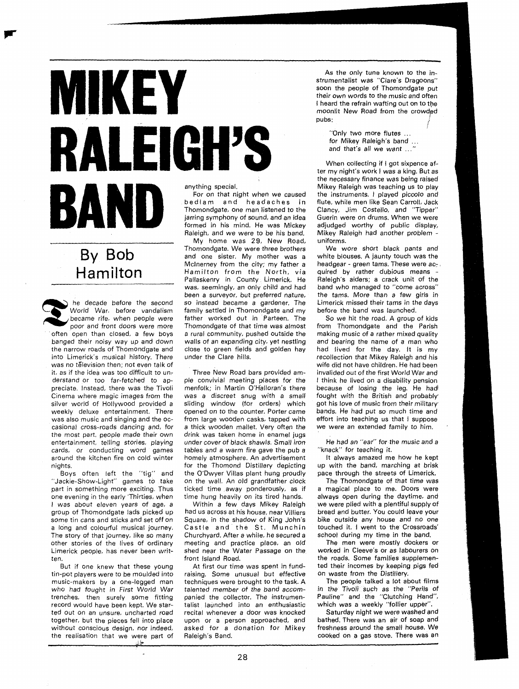## MIKEY **RALEIGH'S** anything special. BAND

## By Bob Hamilton

he decade before the second World War, before vandalism became rife, when people were poor and front doors were more often open than closed, a few boys banged their noisy way up and down the narrow roads of Thomondgate and into Limerick's musical history. There was no télevision then; not even talk of it, as if the idea was too difficult to understand or too far-fetched to appreciate. Instead, there was the Tivoli Cinema where magic images from the silver world of Hollywood provided a weekly deluxe entertainment. There was also music and singing and the occasional cross-roads dancing and, for the most part, people made their own entertainment, telling stories, playing cards, or conducting word games around the kitchen fire on cold winter nights.

Boys often left the "tig" and "Jackie-Show-Light" games to take part in something more exciting. Thus one evening in the early 'Thirties, when I was about eleven years of age, a group of Thomondgate lads picked up some tin cans and sticks and set off on a long and colourful musical journey. The story of that journey, like so many other stories of the lives of ordinary Limerick people, has never been written.

But if one knew that these young tin-pot players were to be moulded into music-makers by a one-legged man who had fought in First World War trenches, then surely some fitting record would have been kept. We started out on an unsure, uncharted road together, but the pieces fell into place without conscious design, nor indeed, the realisation that we were part of

For on that night when we caused bedlam and headaches in Thomondgate, one man listened to the jarring symphony of sound, and an idea formed in his mind. He was Mickey Raleigh, and we were to be his band.

My home was 29, New Road, Thomondgate. We were three brothers and one sister. My mother was a Mclnerney from the city; my father a Hamilton from the North, via Pallaskenry in County Limerick. He was, seemingly, an only child and had been a surveyor, but preferred nature, so instead became a gardener. The family settled in Thomondgate and my father worked out in Parteen. The Thomondgate of that time was almost a rural community, pushed outside the walls of an expanding city, yet nestling close to green fields and golden hay under the Clare hills.

Three New Road bars provided ample convivial meeting places for the menfolk; in Martin O'Halloran's there was a discreet snug with a small sliding window (for orders) which opened on to the counter. Porter came from large wooden casks, tapped with a thick wooden mallet. Very often the drink was taken home in enamel jugs under cover of black shawls. Small iron tables and a warm fire gave the pub a homely atmosphere. An advertisement for the Thomond Distillery depicting the O'Dwyer Villas plant hung proudly on the wall. An old grandfather clock ticked time away ponderously, as if time hung heavily on its tired hands.

Within a few days Mikey Raleigh had us across at his house, near Villiers Square, in the shadow of King John's Castle and the St. Munchin Churchyard. After a while, he secured a meeting and practice place, an old shed near the Water Passage on the front Island Road.

At first our time was spent in fundraising. Some unusual but effective techniques were brought to the task. A talented member of the band accompanied the collector. The instrumentalist launched into an enthusiastic recital whenever a door was knocked upon or a person approached, and asked for a donatioh for Mikey Raleigh's Band.

As the only tune known to the instrumentalist was "Clare's Dragoons" soon the people of Thomondgate put their own words to the music and often I heard the refrain wafting out on to the moonlit New Road from the crowdgd pubs: <sup>&</sup>lt; j.

"Only two more flutes . . . for Mikey Raleigh's band .. and that's all we want ..."

When collecting if I got sixpence after my night's work I was a king. But as the necessary finance was being raised Mikey Raleigh was teaching us to play the instruments, I played piccolo and flute, while men like Sean Carroll, Jack Clancy, Jim Costello, and "Tipper" Guerin were on drums. When we were adjudged worthy of public display, Mikey Raleigh had another problem -<br>uniforms.

We wore short black pants and white blouses. A jaunty touch was the headgear - green tams. These were  $ac<sub>z</sub>$ quired by rather dubious means - Raleigh's aiders; a crack unit of the band who managed to "come across" the tams. More than a few girls in Limerick missed their tams in the days before the band was launched.

So we hit the road. A group of kids from Thomondgate and the Parish making music of a rather mixed quality and bearing the name of a man who had lived for the day. It is my recollection that Mikey Raleigh and his wife did not have children. He had been invalided out of the first World War and I think he lived on a disability pension because of losing the leg. He had fought with the British and probably got his love of music from their military bands. He had put so much time and effort into teaching us that I suppose we were an extended family to him.

He had an "ear" for the music and a "knack" for teaching it.

It always amazed me how he kept up with the band, marching at brisk pace through the streets of Limerick.

The Thomondgate of that time was a magical place to me. Doors were always open during the daytime, and we were plied with a plentiful supply of bread and butter. You could leave your bike outside any house and no one touched it. I went to the Crossroads' school during my time in the band.

The men were mostly dockers or worked in Cleeve's or as labourers on the roads. Some families supplemented their incomes by keeping pigs fed on waste from the Distillery.

The people talked a lot about films in the Tivoli such as the "Perils of Pauline" and the "Clutching Hand", which was a weekly "follier upper".

Saturday night we were washed and bathed. There was an air of soap and freshness around the small house. We cooked on a gas stove. There was an